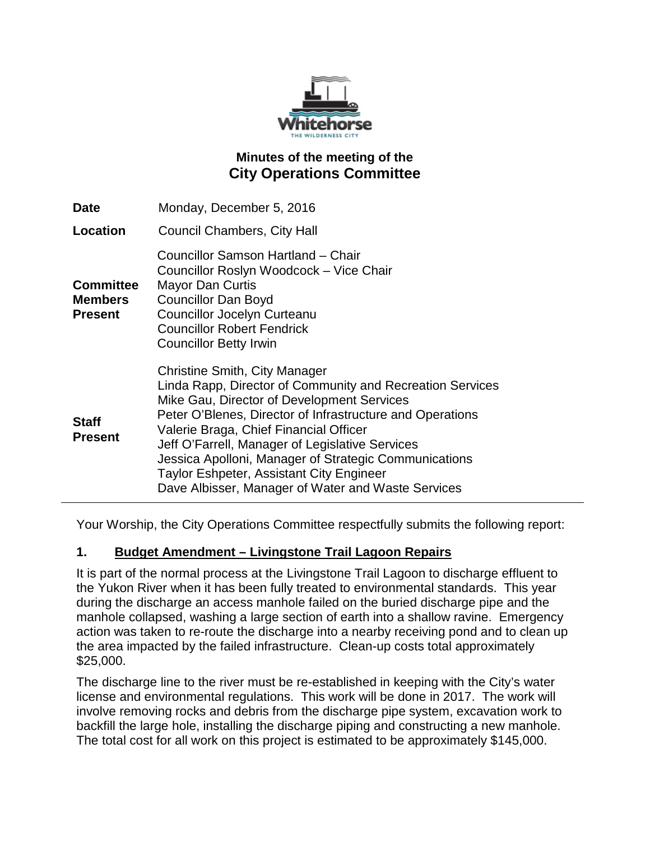

# **Minutes of the meeting of the City Operations Committee**

| <b>Date</b>                                          | Monday, December 5, 2016                                                                                                                                                                                                                                                                                                                                                                                                                                             |
|------------------------------------------------------|----------------------------------------------------------------------------------------------------------------------------------------------------------------------------------------------------------------------------------------------------------------------------------------------------------------------------------------------------------------------------------------------------------------------------------------------------------------------|
| Location                                             | Council Chambers, City Hall                                                                                                                                                                                                                                                                                                                                                                                                                                          |
| <b>Committee</b><br><b>Members</b><br><b>Present</b> | Councillor Samson Hartland - Chair<br>Councillor Roslyn Woodcock - Vice Chair<br><b>Mayor Dan Curtis</b><br><b>Councillor Dan Boyd</b><br><b>Councillor Jocelyn Curteanu</b><br><b>Councillor Robert Fendrick</b><br><b>Councillor Betty Irwin</b>                                                                                                                                                                                                                   |
| <b>Staff</b><br><b>Present</b>                       | <b>Christine Smith, City Manager</b><br>Linda Rapp, Director of Community and Recreation Services<br>Mike Gau, Director of Development Services<br>Peter O'Blenes, Director of Infrastructure and Operations<br>Valerie Braga, Chief Financial Officer<br>Jeff O'Farrell, Manager of Legislative Services<br>Jessica Apolloni, Manager of Strategic Communications<br>Taylor Eshpeter, Assistant City Engineer<br>Dave Albisser, Manager of Water and Waste Services |

Your Worship, the City Operations Committee respectfully submits the following report:

#### **1. Budget Amendment – Livingstone Trail Lagoon Repairs**

It is part of the normal process at the Livingstone Trail Lagoon to discharge effluent to the Yukon River when it has been fully treated to environmental standards. This year during the discharge an access manhole failed on the buried discharge pipe and the manhole collapsed, washing a large section of earth into a shallow ravine. Emergency action was taken to re-route the discharge into a nearby receiving pond and to clean up the area impacted by the failed infrastructure. Clean-up costs total approximately \$25,000.

The discharge line to the river must be re-established in keeping with the City's water license and environmental regulations. This work will be done in 2017. The work will involve removing rocks and debris from the discharge pipe system, excavation work to backfill the large hole, installing the discharge piping and constructing a new manhole. The total cost for all work on this project is estimated to be approximately \$145,000.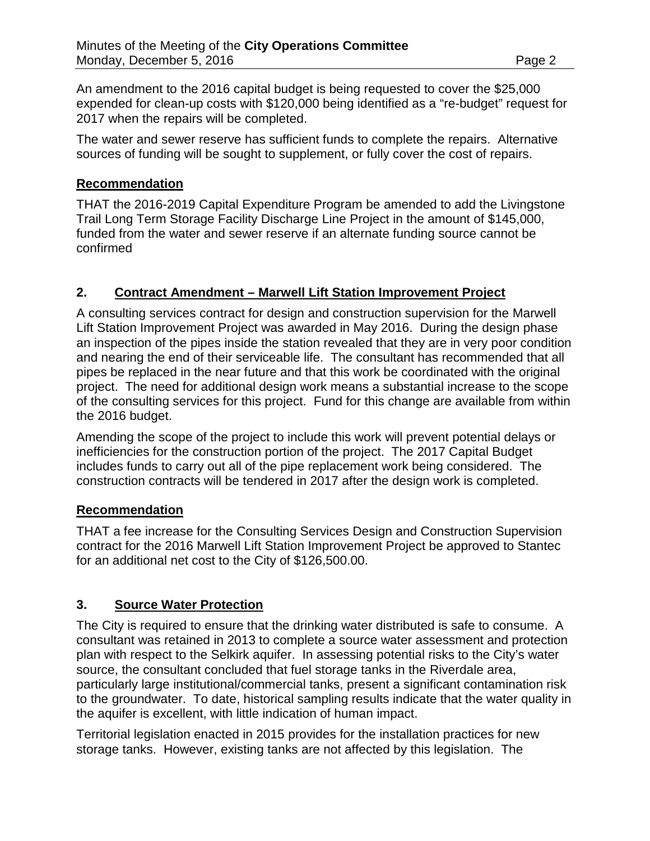An amendment to the 2016 capital budget is being requested to cover the \$25,000 expended for clean-up costs with \$120,000 being identified as a "re-budget" request for 2017 when the repairs will be completed.

The water and sewer reserve has sufficient funds to complete the repairs. Alternative sources of funding will be sought to supplement, or fully cover the cost of repairs.

### **Recommendation**

THAT the 2016-2019 Capital Expenditure Program be amended to add the Livingstone Trail Long Term Storage Facility Discharge Line Project in the amount of \$145,000, funded from the water and sewer reserve if an alternate funding source cannot be confirmed

### **2. Contract Amendment – Marwell Lift Station Improvement Project**

A consulting services contract for design and construction supervision for the Marwell Lift Station Improvement Project was awarded in May 2016. During the design phase an inspection of the pipes inside the station revealed that they are in very poor condition and nearing the end of their serviceable life. The consultant has recommended that all pipes be replaced in the near future and that this work be coordinated with the original project. The need for additional design work means a substantial increase to the scope of the consulting services for this project. Fund for this change are available from within the 2016 budget.

Amending the scope of the project to include this work will prevent potential delays or inefficiencies for the construction portion of the project. The 2017 Capital Budget includes funds to carry out all of the pipe replacement work being considered. The construction contracts will be tendered in 2017 after the design work is completed.

#### **Recommendation**

THAT a fee increase for the Consulting Services Design and Construction Supervision contract for the 2016 Marwell Lift Station Improvement Project be approved to Stantec for an additional net cost to the City of \$126,500.00.

# **3. Source Water Protection**

The City is required to ensure that the drinking water distributed is safe to consume. A consultant was retained in 2013 to complete a source water assessment and protection plan with respect to the Selkirk aquifer. In assessing potential risks to the City's water source, the consultant concluded that fuel storage tanks in the Riverdale area, particularly large institutional/commercial tanks, present a significant contamination risk to the groundwater. To date, historical sampling results indicate that the water quality in the aquifer is excellent, with little indication of human impact.

Territorial legislation enacted in 2015 provides for the installation practices for new storage tanks. However, existing tanks are not affected by this legislation. The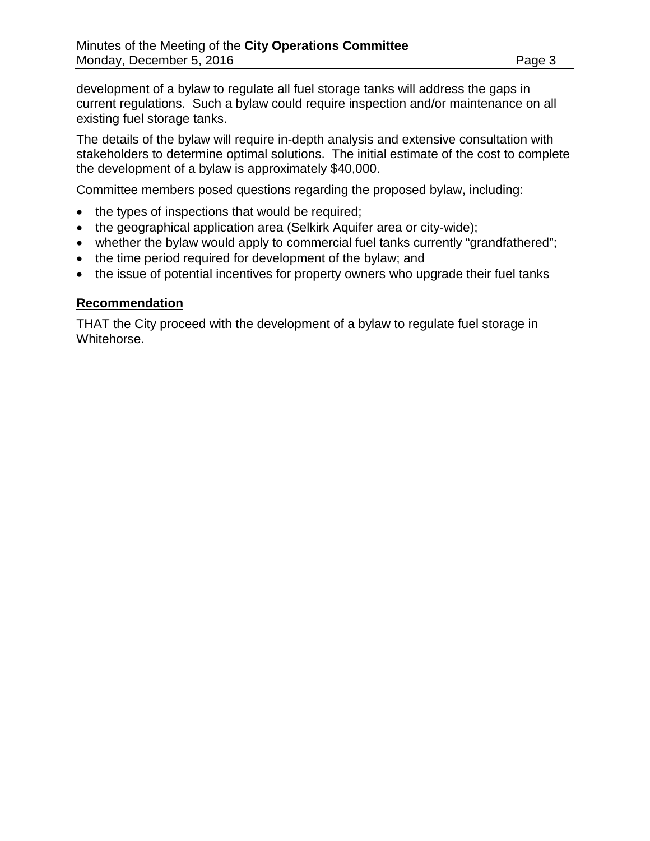development of a bylaw to regulate all fuel storage tanks will address the gaps in current regulations. Such a bylaw could require inspection and/or maintenance on all existing fuel storage tanks.

The details of the bylaw will require in-depth analysis and extensive consultation with stakeholders to determine optimal solutions. The initial estimate of the cost to complete the development of a bylaw is approximately \$40,000.

Committee members posed questions regarding the proposed bylaw, including:

- the types of inspections that would be required;
- the geographical application area (Selkirk Aquifer area or city-wide);
- whether the bylaw would apply to commercial fuel tanks currently "grandfathered";
- the time period required for development of the bylaw; and
- the issue of potential incentives for property owners who upgrade their fuel tanks

#### **Recommendation**

THAT the City proceed with the development of a bylaw to regulate fuel storage in Whitehorse.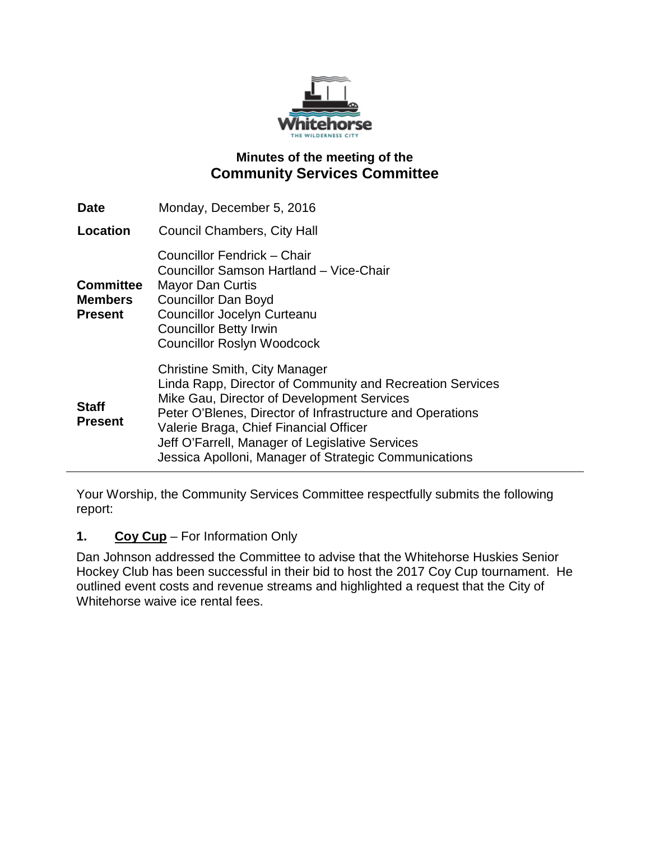

# **Minutes of the meeting of the Community Services Committee**

| <b>Date</b>                                          | Monday, December 5, 2016                                                                                                                                                                                                                                                                                                                                           |
|------------------------------------------------------|--------------------------------------------------------------------------------------------------------------------------------------------------------------------------------------------------------------------------------------------------------------------------------------------------------------------------------------------------------------------|
| Location                                             | <b>Council Chambers, City Hall</b>                                                                                                                                                                                                                                                                                                                                 |
| <b>Committee</b><br><b>Members</b><br><b>Present</b> | Councillor Fendrick - Chair<br>Councillor Samson Hartland - Vice-Chair<br><b>Mayor Dan Curtis</b><br><b>Councillor Dan Boyd</b><br><b>Councillor Jocelyn Curteanu</b><br><b>Councillor Betty Irwin</b><br><b>Councillor Roslyn Woodcock</b>                                                                                                                        |
| <b>Staff</b><br><b>Present</b>                       | <b>Christine Smith, City Manager</b><br>Linda Rapp, Director of Community and Recreation Services<br>Mike Gau, Director of Development Services<br>Peter O'Blenes, Director of Infrastructure and Operations<br>Valerie Braga, Chief Financial Officer<br>Jeff O'Farrell, Manager of Legislative Services<br>Jessica Apolloni, Manager of Strategic Communications |

Your Worship, the Community Services Committee respectfully submits the following report:

# **1. Coy Cup** – For Information Only

Dan Johnson addressed the Committee to advise that the Whitehorse Huskies Senior Hockey Club has been successful in their bid to host the 2017 Coy Cup tournament. He outlined event costs and revenue streams and highlighted a request that the City of Whitehorse waive ice rental fees.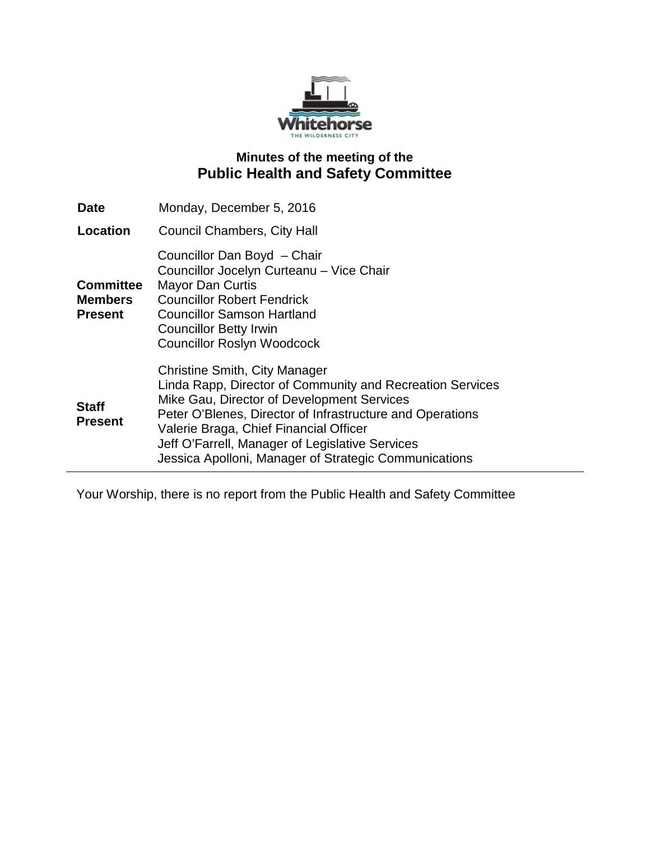

# **Minutes of the meeting of the Public Health and Safety Committee**

| Date                                                 | Monday, December 5, 2016                                                                                                                                                                                                                                                                                                                                           |
|------------------------------------------------------|--------------------------------------------------------------------------------------------------------------------------------------------------------------------------------------------------------------------------------------------------------------------------------------------------------------------------------------------------------------------|
| Location                                             | Council Chambers, City Hall                                                                                                                                                                                                                                                                                                                                        |
| <b>Committee</b><br><b>Members</b><br><b>Present</b> | Councillor Dan Boyd - Chair<br>Councillor Jocelyn Curteanu - Vice Chair<br><b>Mayor Dan Curtis</b><br><b>Councillor Robert Fendrick</b><br><b>Councillor Samson Hartland</b><br><b>Councillor Betty Irwin</b><br><b>Councillor Roslyn Woodcock</b>                                                                                                                 |
| <b>Staff</b><br><b>Present</b>                       | <b>Christine Smith, City Manager</b><br>Linda Rapp, Director of Community and Recreation Services<br>Mike Gau, Director of Development Services<br>Peter O'Blenes, Director of Infrastructure and Operations<br>Valerie Braga, Chief Financial Officer<br>Jeff O'Farrell, Manager of Legislative Services<br>Jessica Apolloni, Manager of Strategic Communications |

Your Worship, there is no report from the Public Health and Safety Committee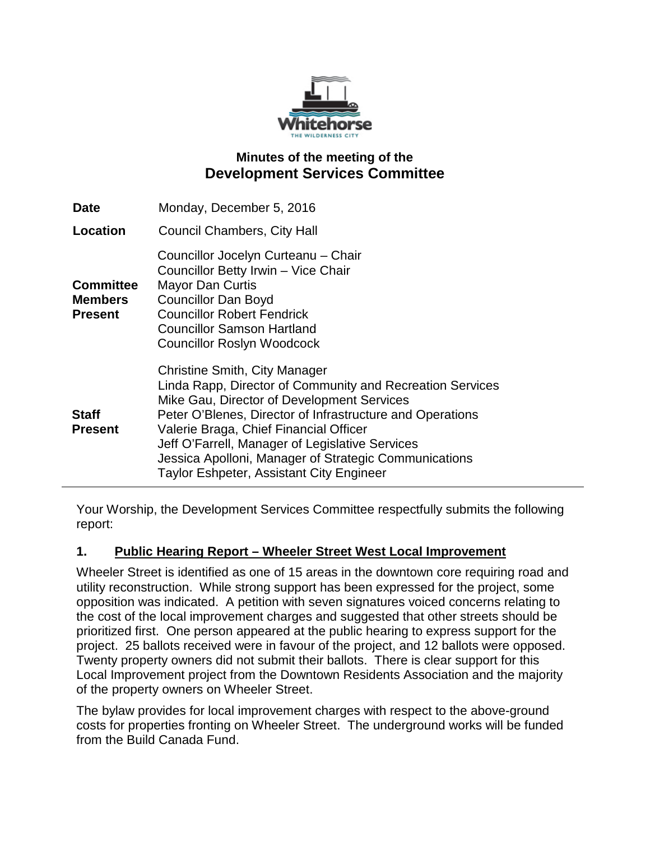

# **Minutes of the meeting of the Development Services Committee**

| <b>Date</b>                                          | Monday, December 5, 2016                                                                                                                                                                                                                                                                                                                                                                                              |
|------------------------------------------------------|-----------------------------------------------------------------------------------------------------------------------------------------------------------------------------------------------------------------------------------------------------------------------------------------------------------------------------------------------------------------------------------------------------------------------|
| Location                                             | <b>Council Chambers, City Hall</b>                                                                                                                                                                                                                                                                                                                                                                                    |
| <b>Committee</b><br><b>Members</b><br><b>Present</b> | Councillor Jocelyn Curteanu - Chair<br>Councillor Betty Irwin - Vice Chair<br><b>Mayor Dan Curtis</b><br><b>Councillor Dan Boyd</b><br><b>Councillor Robert Fendrick</b><br><b>Councillor Samson Hartland</b><br><b>Councillor Roslyn Woodcock</b>                                                                                                                                                                    |
| <b>Staff</b><br><b>Present</b>                       | <b>Christine Smith, City Manager</b><br>Linda Rapp, Director of Community and Recreation Services<br>Mike Gau, Director of Development Services<br>Peter O'Blenes, Director of Infrastructure and Operations<br>Valerie Braga, Chief Financial Officer<br>Jeff O'Farrell, Manager of Legislative Services<br>Jessica Apolloni, Manager of Strategic Communications<br><b>Taylor Eshpeter, Assistant City Engineer</b> |

Your Worship, the Development Services Committee respectfully submits the following report:

# **1. Public Hearing Report – Wheeler Street West Local Improvement**

Wheeler Street is identified as one of 15 areas in the downtown core requiring road and utility reconstruction. While strong support has been expressed for the project, some opposition was indicated. A petition with seven signatures voiced concerns relating to the cost of the local improvement charges and suggested that other streets should be prioritized first. One person appeared at the public hearing to express support for the project. 25 ballots received were in favour of the project, and 12 ballots were opposed. Twenty property owners did not submit their ballots. There is clear support for this Local Improvement project from the Downtown Residents Association and the majority of the property owners on Wheeler Street.

The bylaw provides for local improvement charges with respect to the above-ground costs for properties fronting on Wheeler Street. The underground works will be funded from the Build Canada Fund.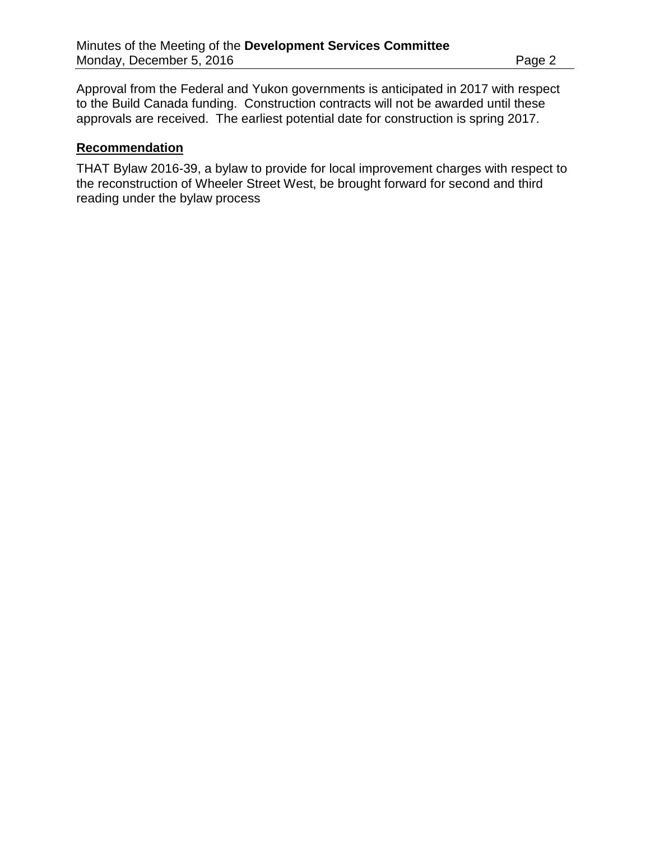Approval from the Federal and Yukon governments is anticipated in 2017 with respect to the Build Canada funding. Construction contracts will not be awarded until these approvals are received. The earliest potential date for construction is spring 2017.

### **Recommendation**

THAT Bylaw 2016-39, a bylaw to provide for local improvement charges with respect to the reconstruction of Wheeler Street West, be brought forward for second and third reading under the bylaw process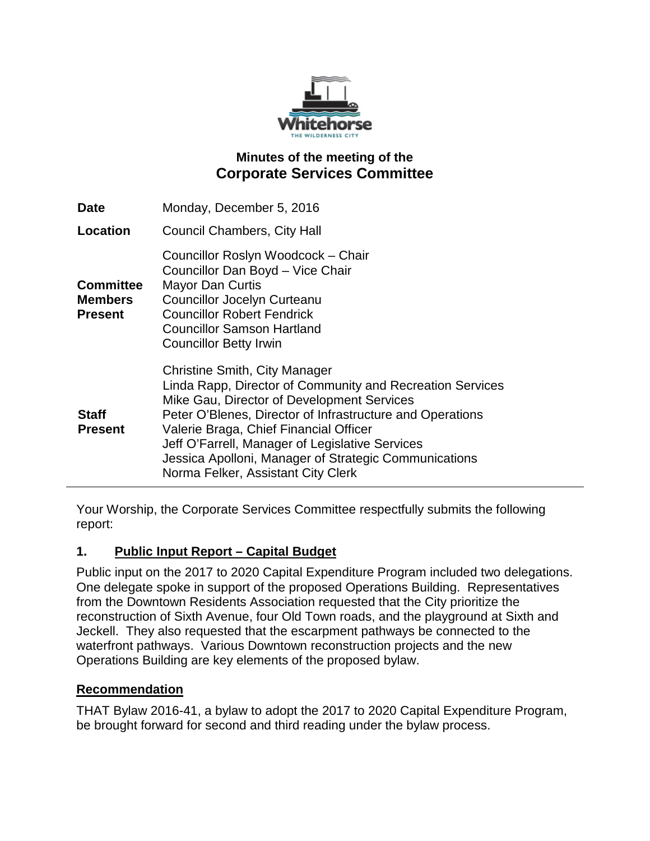

# **Minutes of the meeting of the Corporate Services Committee**

| <b>Date</b>                                          | Monday, December 5, 2016                                                                                                                                                                                                                                                                                                                                                                          |
|------------------------------------------------------|---------------------------------------------------------------------------------------------------------------------------------------------------------------------------------------------------------------------------------------------------------------------------------------------------------------------------------------------------------------------------------------------------|
| Location                                             | <b>Council Chambers, City Hall</b>                                                                                                                                                                                                                                                                                                                                                                |
| <b>Committee</b><br><b>Members</b><br><b>Present</b> | Councillor Roslyn Woodcock - Chair<br>Councillor Dan Boyd - Vice Chair<br><b>Mayor Dan Curtis</b><br>Councillor Jocelyn Curteanu<br><b>Councillor Robert Fendrick</b><br><b>Councillor Samson Hartland</b><br><b>Councillor Betty Irwin</b>                                                                                                                                                       |
| <b>Staff</b><br><b>Present</b>                       | Christine Smith, City Manager<br>Linda Rapp, Director of Community and Recreation Services<br>Mike Gau, Director of Development Services<br>Peter O'Blenes, Director of Infrastructure and Operations<br>Valerie Braga, Chief Financial Officer<br>Jeff O'Farrell, Manager of Legislative Services<br>Jessica Apolloni, Manager of Strategic Communications<br>Norma Felker, Assistant City Clerk |

Your Worship, the Corporate Services Committee respectfully submits the following report:

# **1. Public Input Report – Capital Budget**

Public input on the 2017 to 2020 Capital Expenditure Program included two delegations. One delegate spoke in support of the proposed Operations Building. Representatives from the Downtown Residents Association requested that the City prioritize the reconstruction of Sixth Avenue, four Old Town roads, and the playground at Sixth and Jeckell. They also requested that the escarpment pathways be connected to the waterfront pathways. Various Downtown reconstruction projects and the new Operations Building are key elements of the proposed bylaw.

# **Recommendation**

THAT Bylaw 2016-41, a bylaw to adopt the 2017 to 2020 Capital Expenditure Program, be brought forward for second and third reading under the bylaw process.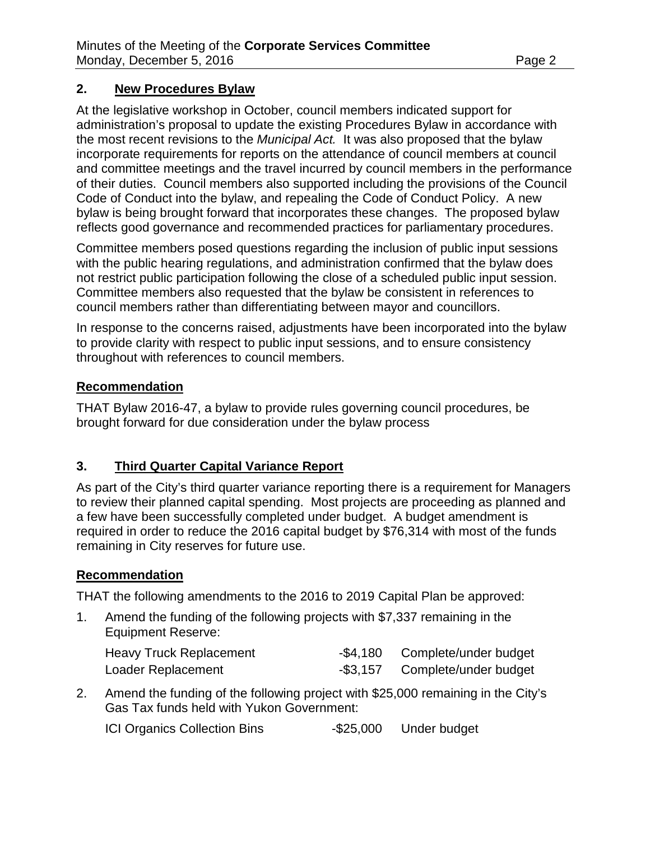### **2. New Procedures Bylaw**

At the legislative workshop in October, council members indicated support for administration's proposal to update the existing Procedures Bylaw in accordance with the most recent revisions to the *Municipal Act.* It was also proposed that the bylaw incorporate requirements for reports on the attendance of council members at council and committee meetings and the travel incurred by council members in the performance of their duties. Council members also supported including the provisions of the Council Code of Conduct into the bylaw, and repealing the Code of Conduct Policy. A new bylaw is being brought forward that incorporates these changes. The proposed bylaw reflects good governance and recommended practices for parliamentary procedures.

Committee members posed questions regarding the inclusion of public input sessions with the public hearing regulations, and administration confirmed that the bylaw does not restrict public participation following the close of a scheduled public input session. Committee members also requested that the bylaw be consistent in references to council members rather than differentiating between mayor and councillors.

In response to the concerns raised, adjustments have been incorporated into the bylaw to provide clarity with respect to public input sessions, and to ensure consistency throughout with references to council members.

### **Recommendation**

THAT Bylaw 2016-47, a bylaw to provide rules governing council procedures, be brought forward for due consideration under the bylaw process

# **3. Third Quarter Capital Variance Report**

As part of the City's third quarter variance reporting there is a requirement for Managers to review their planned capital spending. Most projects are proceeding as planned and a few have been successfully completed under budget. A budget amendment is required in order to reduce the 2016 capital budget by \$76,314 with most of the funds remaining in City reserves for future use.

# **Recommendation**

THAT the following amendments to the 2016 to 2019 Capital Plan be approved:

1. Amend the funding of the following projects with \$7,337 remaining in the Equipment Reserve:

| <b>Heavy Truck Replacement</b> |          | -\$4,180 Complete/under budget |
|--------------------------------|----------|--------------------------------|
| Loader Replacement             | -\$3,157 | Complete/under budget          |

2. Amend the funding of the following project with \$25,000 remaining in the City's Gas Tax funds held with Yukon Government:

ICI Organics Collection Bins -\$25,000 Under budget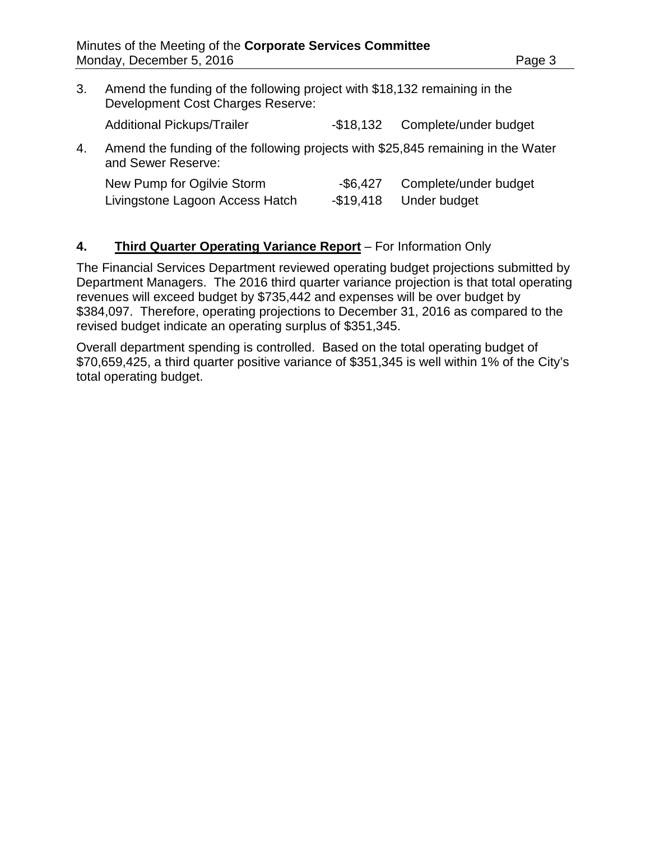3. Amend the funding of the following project with \$18,132 remaining in the Development Cost Charges Reserve:

Additional Pickups/Trailer - \$18,132 Complete/under budget

4. Amend the funding of the following projects with \$25,845 remaining in the Water and Sewer Reserve:

| New Pump for Ogilvie Storm      | -\$6,427  | Complete/under budget |
|---------------------------------|-----------|-----------------------|
| Livingstone Lagoon Access Hatch | -\$19,418 | Under budget          |

### **4. Third Quarter Operating Variance Report** – For Information Only

The Financial Services Department reviewed operating budget projections submitted by Department Managers. The 2016 third quarter variance projection is that total operating revenues will exceed budget by \$735,442 and expenses will be over budget by \$384,097. Therefore, operating projections to December 31, 2016 as compared to the revised budget indicate an operating surplus of \$351,345.

Overall department spending is controlled. Based on the total operating budget of \$70,659,425, a third quarter positive variance of \$351,345 is well within 1% of the City's total operating budget.